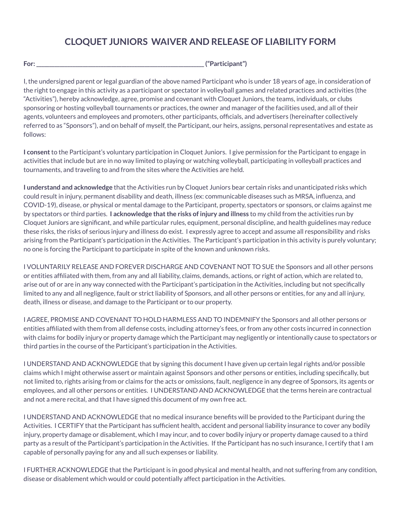## **CLOQUET JUNIORS WAIVER AND RELEASE OF LIABILITY FORM**

| $\sim$<br>For: | $140 - 122 - 126 - 121$ |
|----------------|-------------------------|
|----------------|-------------------------|

I, the undersigned parent or legal guardian of the above named Participant who is under 18 years of age, in consideration of the right to engage in this activity as a participant or spectator in volleyball games and related practices and activities (the "Activities"), hereby acknowledge, agree, promise and covenant with Cloquet Juniors, the teams, individuals, or clubs sponsoring or hosting volleyball tournaments or practices, the owner and manager of the facilities used, and all of their agents, volunteers and employees and promoters, other participants, officials, and advertisers (hereinafter collectively referred to as "Sponsors"), and on behalf of myself, the Participant, our heirs, assigns, personal representatives and estate as follows:

**I consent**to the Participant's voluntary participation in Cloquet Juniors. I give permission for the Participant to engage in activities that include but are in no way limited to playing or watching volleyball, participating in volleyball practices and tournaments, and traveling to and from the sites where the Activities are held.

**I understand and acknowledge** that the Activities run by Cloquet Juniors bear certain risks and unanticipated risks which could result in injury, permanent disability and death, illness (ex: communicable diseases such as MRSA, influenza, and COVID-19), disease, or physical or mental damage to the Participant, property, spectators or sponsors, or claims against me by spectators or third parties. **I acknowledge thatthe risks of injury and illness** to my child from the activities run by Cloquet Juniors are significant, and while particular rules, equipment, personal discipline, and health guidelines may reduce these risks, the risks of serious injury and illness do exist. I expressly agree to accept and assume all responsibility and risks arising from the Participant's participation in the Activities. The Participant's participation in this activity is purely voluntary; no one is forcing the Participant to participate in spite of the known and unknown risks.

I VOLUNTARILY RELEASE AND FOREVER DISCHARGE AND COVENANT NOT TO SUE the Sponsors and all other persons or entities affiliated with them, from any and all liability, claims, demands, actions, or right of action, which are related to, arise out of or are in any way connected with the Participant's participation in the Activities, including but not specifically limited to any and all negligence, fault or strict liability of Sponsors, and all other persons or entities, for any and all injury, death, illness or disease, and damage to the Participant or to our property.

I AGREE, PROMISE AND COVENANT TO HOLD HARMLESS AND TO INDEMNIFY the Sponsors and all other persons or entities affiliated with them from all defense costs, including attorney's fees, or from any other costs incurred in connection with claims for bodily injury or property damage which the Participant may negligently or intentionally cause to spectators or third parties in the course of the Participant's participation in the Activities.

I UNDERSTAND AND ACKNOWLEDGE that by signing this document I have given up certain legal rights and/or possible claims which I might otherwise assert or maintain against Sponsors and other persons or entities, including specifically, but not limited to, rights arising from or claims for the acts or omissions, fault, negligence in any degree of Sponsors, its agents or employees, and all other persons or entities. I UNDERSTAND AND ACKNOWLEDGE that the terms herein are contractual and not a mere recital, and that I have signed this document of my own free act.

I UNDERSTAND AND ACKNOWLEDGE that no medical insurance benefits will be provided to the Participant during the Activities. I CERTIFY that the Participant has sufficient health, accident and personal liability insurance to cover any bodily injury, property damage or disablement, which I may incur, and to cover bodily injury or property damage caused to a third party as a result of the Participant's participation in the Activities. If the Participant has no such insurance, I certify that I am capable of personally paying for any and all such expenses or liability.

I FURTHER ACKNOWLEDGE that the Participant is in good physical and mental health, and not suffering from any condition, disease or disablement which would or could potentially affect participation in the Activities.